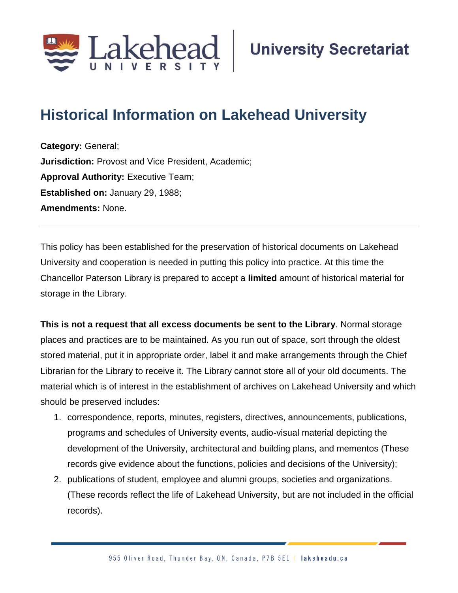

## **Historical Information on Lakehead University**

**Category:** General; **Jurisdiction:** Provost and Vice President, Academic; **Approval Authority: Executive Team; Established on:** January 29, 1988; **Amendments:** None.

This policy has been established for the preservation of historical documents on Lakehead University and cooperation is needed in putting this policy into practice. At this time the Chancellor Paterson Library is prepared to accept a **limited** amount of historical material for storage in the Library.

**This is not a request that all excess documents be sent to the Library**. Normal storage places and practices are to be maintained. As you run out of space, sort through the oldest stored material, put it in appropriate order, label it and make arrangements through the Chief Librarian for the Library to receive it. The Library cannot store all of your old documents. The material which is of interest in the establishment of archives on Lakehead University and which should be preserved includes:

- 1. correspondence, reports, minutes, registers, directives, announcements, publications, programs and schedules of University events, audio-visual material depicting the development of the University, architectural and building plans, and mementos (These records give evidence about the functions, policies and decisions of the University);
- 2. publications of student, employee and alumni groups, societies and organizations. (These records reflect the life of Lakehead University, but are not included in the official records).